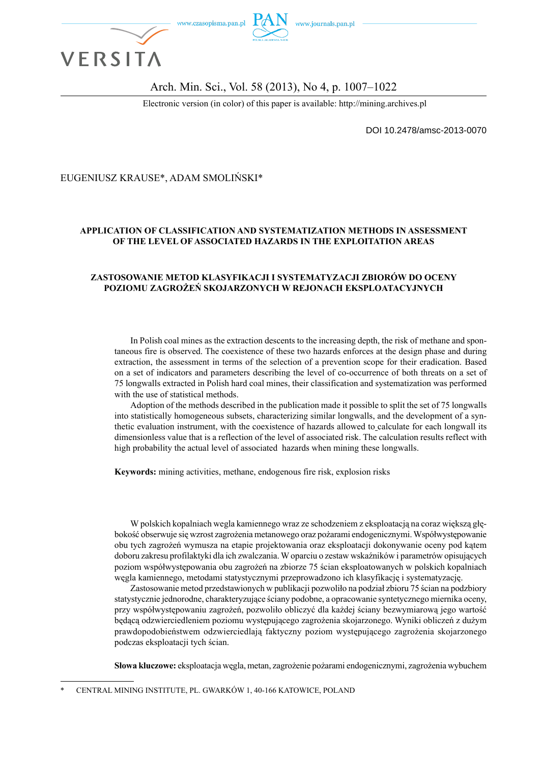

### Arch. Min. Sci., Vol. 58 (2013), No 4, p. 1007–1022

Electronic version (in color) of this paper is available: http://mining.archives.pl

DOI 10.2478/amsc-2013-0070

#### EUGENIUSZ KRAUSE\*, ADAM SMOLIŃSKI\*

#### **APPLICATION OF CLASSIFICATION AND SYSTEMATIZATION METHODS IN ASSESSMENT OF THE LEVEL OF ASSOCIATED HAZARDS IN THE EXPLOITATION AREAS**

#### **ZASTOSOWANIE METOD KLASYFIKACJI I SYSTEMATYZACJI ZBIORÓW DO OCENY POZIOMU ZAGROŻEŃ SKOJARZONYCH W REJONACH EKSPLOATACYJNYCH**

In Polish coal mines as the extraction descents to the increasing depth, the risk of methane and spontaneous fire is observed. The coexistence of these two hazards enforces at the design phase and during extraction, the assessment in terms of the selection of a prevention scope for their eradication. Based on a set of indicators and parameters describing the level of co-occurrence of both threats on a set of 75 longwalls extracted in Polish hard coal mines, their classification and systematization was performed with the use of statistical methods.

Adoption of the methods described in the publication made it possible to split the set of 75 longwalls into statistically homogeneous subsets, characterizing similar longwalls, and the development of a synthetic evaluation instrument, with the coexistence of hazards allowed to calculate for each longwall its dimensionless value that is a reflection of the level of associated risk. The calculation results reflect with high probability the actual level of associated hazards when mining these longwalls.

**Keywords:** mining activities, methane, endogenous fire risk, explosion risks

W polskich kopalniach wegla kamiennego wraz ze schodzeniem z eksploatacją na coraz większą głębokość obserwuje się wzrost zagrożenia metanowego oraz pożarami endogenicznymi. Współwystępowanie obu tych zagrożeń wymusza na etapie projektowania oraz eksploatacji dokonywanie oceny pod kątem doboru zakresu profilaktyki dla ich zwalczania. W oparciu o zestaw wskaźników i parametrów opisujących poziom współwystępowania obu zagrożeń na zbiorze 75 ścian eksploatowanych w polskich kopalniach węgla kamiennego, metodami statystycznymi przeprowadzono ich klasyfikację i systematyzację.

Zastosowanie metod przedstawionych w publikacji pozwoliło na podział zbioru 75 ścian na podzbiory statystycznie jednorodne, charakteryzujące ściany podobne, a opracowanie syntetycznego miernika oceny, przy współwystępowaniu zagrożeń, pozwoliło obliczyć dla każdej ściany bezwymiarową jego wartość będącą odzwierciedleniem poziomu występującego zagrożenia skojarzonego. Wyniki obliczeń z dużym prawdopodobieństwem odzwierciedlają faktyczny poziom występującego zagrożenia skojarzonego podczas eksploatacji tych ścian.

**Słowa kluczowe:** eksploatacja węgla, metan, zagrożenie pożarami endogenicznymi, zagrożenia wybuchem

\* CENTRAL MINING INSTITUTE, PL. GWARKÓW 1, 40-166 KATOWICE, POLAND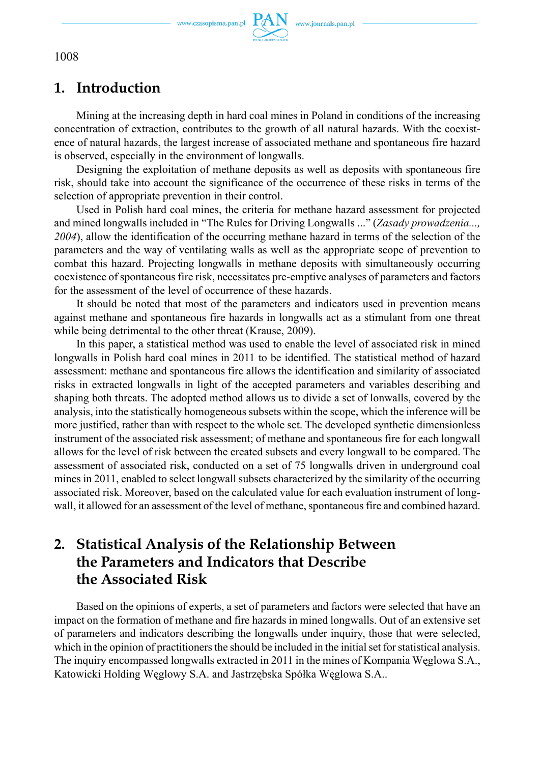

## **1. Introduction**

Mining at the increasing depth in hard coal mines in Poland in conditions of the increasing concentration of extraction, contributes to the growth of all natural hazards. With the coexistence of natural hazards, the largest increase of associated methane and spontaneous fire hazard is observed, especially in the environment of longwalls.

Designing the exploitation of methane deposits as well as deposits with spontaneous fire risk, should take into account the significance of the occurrence of these risks in terms of the selection of appropriate prevention in their control.

Used in Polish hard coal mines, the criteria for methane hazard assessment for projected and mined longwalls included in "The Rules for Driving Longwalls ..." (*Zasady prowadzenia..., 2004*), allow the identification of the occurring methane hazard in terms of the selection of the parameters and the way of ventilating walls as well as the appropriate scope of prevention to combat this hazard. Projecting longwalls in methane deposits with simultaneously occurring coexistence of spontaneous fire risk, necessitates pre-emptive analyses of parameters and factors for the assessment of the level of occurrence of these hazards.

It should be noted that most of the parameters and indicators used in prevention means against methane and spontaneous fire hazards in longwalls act as a stimulant from one threat while being detrimental to the other threat (Krause, 2009).

In this paper, a statistical method was used to enable the level of associated risk in mined longwalls in Polish hard coal mines in 2011 to be identified. The statistical method of hazard assessment: methane and spontaneous fire allows the identification and similarity of associated risks in extracted longwalls in light of the accepted parameters and variables describing and shaping both threats. The adopted method allows us to divide a set of lonwalls, covered by the analysis, into the statistically homogeneous subsets within the scope, which the inference will be more justified, rather than with respect to the whole set. The developed synthetic dimensionless instrument of the associated risk assessment; of methane and spontaneous fire for each longwall allows for the level of risk between the created subsets and every longwall to be compared. The assessment of associated risk, conducted on a set of 75 longwalls driven in underground coal mines in 2011, enabled to select longwall subsets characterized by the similarity of the occurring associated risk. Moreover, based on the calculated value for each evaluation instrument of longwall, it allowed for an assessment of the level of methane, spontaneous fire and combined hazard.

# **2. Statistical Analysis of the Relationship Between the Parameters and Indicators that Describe the Associated Risk**

Based on the opinions of experts, a set of parameters and factors were selected that have an impact on the formation of methane and fire hazards in mined longwalls. Out of an extensive set of parameters and indicators describing the longwalls under inquiry, those that were selected, which in the opinion of practitioners the should be included in the initial set for statistical analysis. The inquiry encompassed longwalls extracted in 2011 in the mines of Kompania Węglowa S.A., Katowicki Holding Węglowy S.A. and Jastrzębska Spółka Węglowa S.A..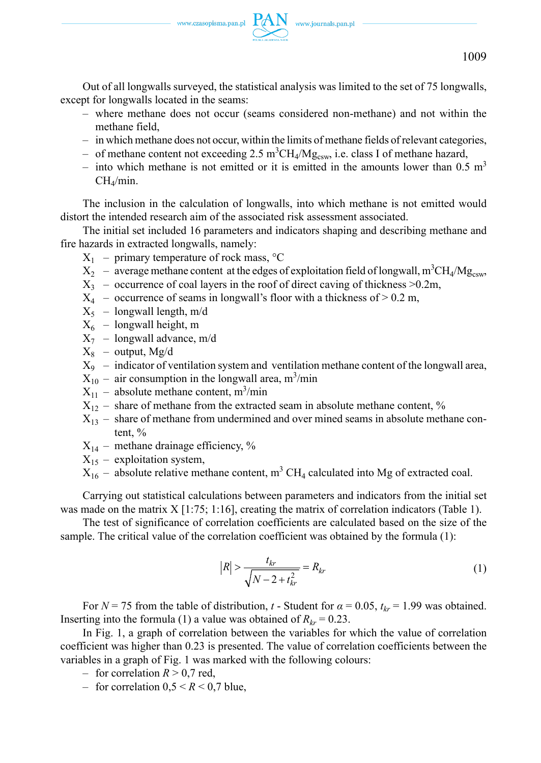Out of all longwalls surveyed, the statistical analysis was limited to the set of 75 longwalls, except for longwalls located in the seams:

- where methane does not occur (seams considered non-methane) and not within the methane field,
- in which methane does not occur, within the limits of methane fields of relevant categories,
- of methane content not exceeding 2.5 m<sup>3</sup>CH<sub>4</sub>/Mg<sub>csw</sub>, i.e. class I of methane hazard,
- into which methane is not emitted or it is emitted in the amounts lower than 0.5 m<sup>3</sup>  $CH<sub>4</sub>/min$ .

The inclusion in the calculation of longwalls, into which methane is not emitted would distort the intended research aim of the associated risk assessment associated.

The initial set included 16 parameters and indicators shaping and describing methane and fire hazards in extracted longwalls, namely:

- $X_1$  primary temperature of rock mass,  ${}^{\circ}C$
- $X_2$  average methane content at the edges of exploitation field of longwall, m<sup>3</sup>CH<sub>4</sub>/Mg<sub>csw</sub>,
- $X_3$  occurrence of coal layers in the roof of direct caving of thickness  $>0.2m$ ,
- $X_4$  occurrence of seams in longwall's floor with a thickness of  $> 0.2$  m,
- $X_5$  longwall length, m/d
- $X_6$  longwall height, m
- $X_7$  longwall advance, m/d
- $X_8$  output, Mg/d
- $X_9$  indicator of ventilation system and ventilation methane content of the longwall area,
- $X_{10}$  air consumption in the longwall area, m<sup>3</sup>/min
- $X_{11}$  absolute methane content, m<sup>3</sup>/min
- $X_{12}$  share of methane from the extracted seam in absolute methane content, %
- $X_{13}$  share of methane from undermined and over mined seams in absolute methane content, %
- $X_{14}$  methane drainage efficiency, %
- $X_{15}$  exploitation system,
- $X_{16}$  absolute relative methane content, m<sup>3</sup> CH<sub>4</sub> calculated into Mg of extracted coal.

Carrying out statistical calculations between parameters and indicators from the initial set was made on the matrix  $X$  [1:75; 1:16], creating the matrix of correlation indicators (Table 1).

The test of significance of correlation coefficients are calculated based on the size of the sample. The critical value of the correlation coefficient was obtained by the formula (1):

$$
|R| > \frac{t_{kr}}{\sqrt{N - 2 + t_{kr}^2}} = R_{kr}
$$
 (1)

For  $N = 75$  from the table of distribution, *t* - Student for  $\alpha = 0.05$ ,  $t_{kr} = 1.99$  was obtained. Inserting into the formula (1) a value was obtained of  $R_{kr} = 0.23$ .

In Fig. 1, a graph of correlation between the variables for which the value of correlation coefficient was higher than 0.23 is presented. The value of correlation coefficients between the variables in a graph of Fig. 1 was marked with the following colours:

- for correlation  $R > 0.7$  red,
- for correlation  $0.5 \le R \le 0.7$  blue,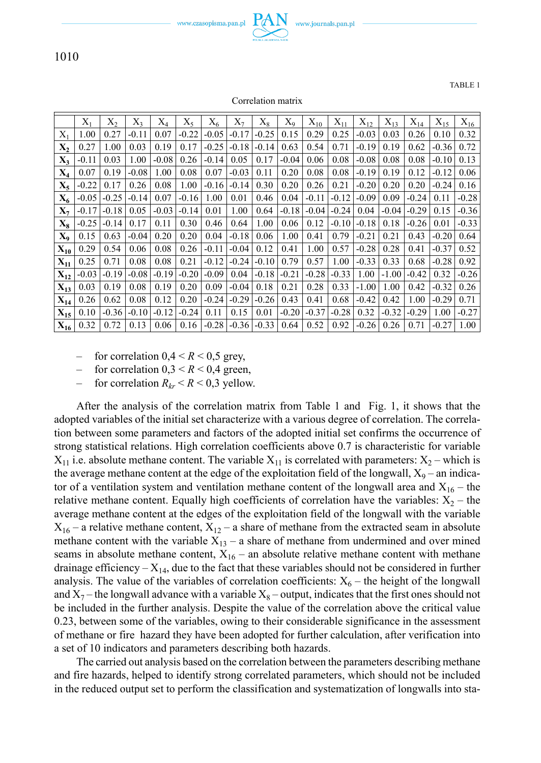www.czasopisma.pan.pl  $PAN$ 

www.journals.pan.pl

1010

TABLE 1

|                | $X_1$   | $X_2$   | $X_3$   | $X_4$   | $X_{5}$ | $X_6$   | $X_7$   | $X_8$   | $X_{9}$ | $X_{10}$ | $X_{11}$ | $X_{12}$ | $X_{13}$ | $X_{14}$ | $X_{15}$ | $X_{16}$ |
|----------------|---------|---------|---------|---------|---------|---------|---------|---------|---------|----------|----------|----------|----------|----------|----------|----------|
| $X_1$          | 1.00    | 0.27    | $-0.11$ | 0.07    | $-0.22$ | $-0.05$ | $-0.17$ | $-0.25$ | 0.15    | 0.29     | 0.25     | $-0.03$  | 0.03     | 0.26     | 0.10     | 0.32     |
| Х,             | 0.27    | 1.00    | 0.03    | 0.19    | 0.17    | $-0.25$ | $-0.18$ | $-0.14$ | 0.63    | 0.54     | 0.71     | $-0.19$  | 0.19     | 0.62     | $-0.36$  | 0.72     |
| $X_3$          | $-0.11$ | 0.03    | 1.00    | $-0.08$ | 0.26    | $-0.14$ | 0.05    | 0.17    | $-0.04$ | 0.06     | 0.08     | $-0.08$  | 0.08     | 0.08     | $-0.10$  | 0.13     |
| $X_4$          | 0.07    | 0.19    | $-0.08$ | 1.00    | 0.08    | 0.07    | $-0.03$ | 0.11    | 0.20    | 0.08     | 0.08     | $-0.19$  | 0.19     | 0.12     | $-0.12$  | 0.06     |
| $X_{5}$        | $-0.22$ | 0.17    | 0.26    | 0.08    | 1.00    | $-0.16$ | $-0.14$ | 0.30    | 0.20    | 0.26     | 0.21     | $-0.20$  | 0.20     | 0.20     | $-0.24$  | 0.16     |
| $X_6$          | $-0.05$ | $-0.25$ | $-0.14$ | 0.07    | $-0.16$ | 1.00    | 0.01    | 0.46    | 0.04    | $-0.11$  | $-0.12$  | $-0.09$  | 0.09     | $-0.24$  | 0.11     | $-0.28$  |
| $X_7$          | $-0.17$ | $-0.18$ | 0.05    | $-0.03$ | $-0.14$ | 0.01    | 1.00    | 0.64    | $-0.18$ | $-0.04$  | $-0.24$  | 0.04     | $-0.04$  | $-0.29$  | 0.15     | $-0.36$  |
| $X_8$          | $-0.25$ | $-0.14$ | 0.17    | 0.11    | 0.30    | 0.46    | 0.64    | 1.00    | 0.06    | 0.12     | $-0.10$  | $-0.18$  | 0.18     | $-0.26$  | 0.01     | $-0.33$  |
| $\mathbf{X}_0$ | 0.15    | 0.63    | $-0.04$ | 0.20    | 0.20    | 0.04    | $-0.18$ | 0.06    | 1.00    | 0.41     | 0.79     | $-0.21$  | 0.21     | 0.43     | $-0.20$  | 0.64     |
| $X_{10}$       | 0.29    | 0.54    | 0.06    | 0.08    | 0.26    | $-0.11$ | $-0.04$ | 0.12    | 0.41    | 1.00     | 0.57     | $-0.28$  | 0.28     | 0.41     | $-0.37$  | 0.52     |
| $X_{11}$       | 0.25    | 0.71    | 0.08    | 0.08    | 0.21    | $-0.12$ | $-0.24$ | $-0.10$ | 0.79    | 0.57     | 1.00     | $-0.33$  | 0.33     | 0.68     | $-0.28$  | 0.92     |
| $X_{12}$       | $-0.03$ | $-0.19$ | $-0.08$ | $-0.19$ | $-0.20$ | $-0.09$ | 0.04    | $-0.18$ | $-0.21$ | $-0.28$  | $-0.33$  | 1.00     | $-1.00$  | $-0.42$  | 0.32     | $-0.26$  |
| $X_{13}$       | 0.03    | 0.19    | 0.08    | 0.19    | 0.20    | 0.09    | $-0.04$ | 0.18    | 0.21    | 0.28     | 0.33     | $-1.00$  | 1.00     | 0.42     | $-0.32$  | 0.26     |
| $X_{14}$       | 0.26    | 0.62    | 0.08    | 0.12    | 0.20    | $-0.24$ | $-0.29$ | $-0.26$ | 0.43    | 0.41     | 0.68     | $-0.42$  | 0.42     | 1.00     | $-0.29$  | 0.71     |
| $X_{15}$       | 0.10    | $-0.36$ | $-0.10$ | $-0.12$ | $-0.24$ | 0.11    | 0.15    | 0.01    | $-0.20$ | $-0.37$  | $-0.28$  | 0.32     | $-0.32$  | $-0.29$  | 1.00     | $-0.27$  |
| $X_{16}$       | 0.32    | 0.72    | 0.13    | 0.06    | 0.16    | $-0.28$ | $-0.36$ | $-0.33$ | 0.64    | 0.52     | 0.92     | $-0.26$  | 0.26     | 0.71     | $-0.27$  | 1.00     |

- for correlation  $0.4 \le R \le 0.5$  grey,
- for correlation  $0,3 \leq R \leq 0,4$  green,
- for correlation  $R_{kr}$  <  $R$  < 0,3 yellow.

After the analysis of the correlation matrix from Table 1 and Fig. 1, it shows that the adopted variables of the initial set characterize with a various degree of correlation. The correlation between some parameters and factors of the adopted initial set confirms the occurrence of strong statistical relations. High correlation coefficients above 0.7 is characteristic for variable  $X_{11}$  i.e. absolute methane content. The variable  $X_{11}$  is correlated with parameters:  $X_2$  – which is the average methane content at the edge of the exploitation field of the longwall,  $X_9$  – an indicator of a ventilation system and ventilation methane content of the longwall area and  $X_{16}$  – the relative methane content. Equally high coefficients of correlation have the variables:  $X_2$  – the average methane content at the edges of the exploitation field of the longwall with the variable  $X_{16}$  – a relative methane content,  $X_{12}$  – a share of methane from the extracted seam in absolute methane content with the variable  $X_{13}$  – a share of methane from undermined and over mined seams in absolute methane content,  $X_{16}$  – an absolute relative methane content with methane drainage efficiency  $- X_{14}$ , due to the fact that these variables should not be considered in further analysis. The value of the variables of correlation coefficients:  $X_6$  – the height of the longwall and  $X_7$  – the longwall advance with a variable  $X_8$  – output, indicates that the first ones should not be included in the further analysis. Despite the value of the correlation above the critical value 0.23, between some of the variables, owing to their considerable significance in the assessment of methane or fire hazard they have been adopted for further calculation, after verification into a set of 10 indicators and parameters describing both hazards.

The carried out analysis based on the correlation between the parameters describing methane and fire hazards, helped to identify strong correlated parameters, which should not be included in the reduced output set to perform the classification and systematization of longwalls into sta-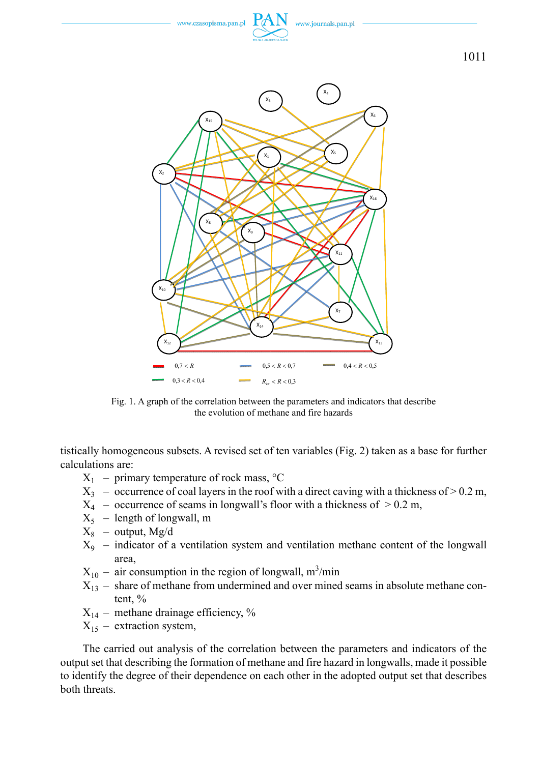

Fig. 1. A graph of the correlation between the parameters and indicators that describe the evolution of methane and fire hazards

tistically homogeneous subsets. A revised set of ten variables (Fig. 2) taken as a base for further calculations are:

- $X_1$  primary temperature of rock mass,  ${}^{\circ}C$
- $X_3$  occurrence of coal layers in the roof with a direct caving with a thickness of  $> 0.2$  m,
- $X_4$  occurrence of seams in longwall's floor with a thickness of  $> 0.2$  m,
- $X_5$  length of longwall, m
- $X_8$  output, Mg/d
- $X_9$  indicator of a ventilation system and ventilation methane content of the longwall area,
- $X_{10}$  air consumption in the region of longwall, m<sup>3</sup>/min
- $X_{13}$  share of methane from undermined and over mined seams in absolute methane content, %
- $X_{14}$  methane drainage efficiency, %
- $X_{15}$  extraction system,

The carried out analysis of the correlation between the parameters and indicators of the output set that describing the formation of methane and fire hazard in longwalls, made it possible to identify the degree of their dependence on each other in the adopted output set that describes both threats.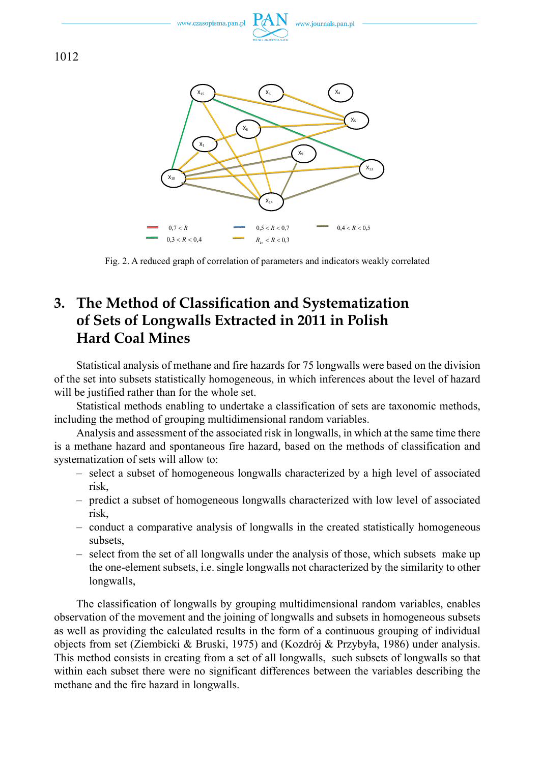

Fig. 2. A reduced graph of correlation of parameters and indicators weakly correlated

# **3. The Method of Classification and Systematization of Sets of Longwalls Extracted in 2011 in Polish Hard Coal Mines**

Statistical analysis of methane and fire hazards for 75 longwalls were based on the division of the set into subsets statistically homogeneous, in which inferences about the level of hazard will be justified rather than for the whole set.

Statistical methods enabling to undertake a classification of sets are taxonomic methods, including the method of grouping multidimensional random variables.

Analysis and assessment of the associated risk in longwalls, in which at the same time there is a methane hazard and spontaneous fire hazard, based on the methods of classification and systematization of sets will allow to:

- select a subset of homogeneous longwalls characterized by a high level of associated risk,
- predict a subset of homogeneous longwalls characterized with low level of associated risk,
- conduct a comparative analysis of longwalls in the created statistically homogeneous subsets,
- select from the set of all longwalls under the analysis of those, which subsets make up the one-element subsets, i.e. single longwalls not characterized by the similarity to other longwalls,

The classification of longwalls by grouping multidimensional random variables, enables observation of the movement and the joining of longwalls and subsets in homogeneous subsets as well as providing the calculated results in the form of a continuous grouping of individual objects from set (Ziembicki & Bruski, 1975) and (Kozdrój & Przybyła, 1986) under analysis. This method consists in creating from a set of all longwalls, such subsets of longwalls so that within each subset there were no significant differences between the variables describing the methane and the fire hazard in longwalls.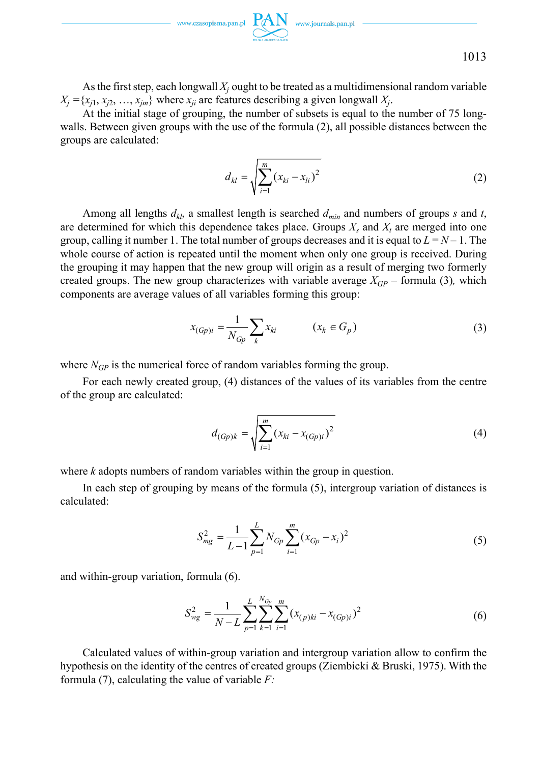1013

As the first step, each longwall  $X_j$  ought to be treated as a multidimensional random variable  $X_j = \{x_{j1}, x_{j2}, \ldots, x_{jm}\}\$  where  $x_{ji}$  are features describing a given longwall  $X_j$ .

At the initial stage of grouping, the number of subsets is equal to the number of 75 longwalls. Between given groups with the use of the formula (2), all possible distances between the groups are calculated:

$$
d_{kl} = \sqrt{\sum_{i=1}^{m} (x_{ki} - x_{li})^2}
$$
 (2)

Among all lengths  $d_{kl}$ , a smallest length is searched  $d_{min}$  and numbers of groups *s* and *t*, are determined for which this dependence takes place. Groups  $X_s$  and  $X_t$  are merged into one group, calling it number 1. The total number of groups decreases and it is equal to  $L = N - 1$ . The whole course of action is repeated until the moment when only one group is received. During the grouping it may happen that the new group will origin as a result of merging two formerly created groups. The new group characterizes with variable average  $X_{GP}$  – formula (3), which components are average values of all variables forming this group:

$$
x_{(Gp)i} = \frac{1}{N_{Gp}} \sum_{k} x_{ki} \qquad (x_k \in G_p)
$$
 (3)

where  $N_{GP}$  is the numerical force of random variables forming the group.

For each newly created group, (4) distances of the values of its variables from the centre of the group are calculated:

$$
d_{(Gp)k} = \sqrt{\sum_{i=1}^{m} (x_{ki} - x_{(Gp)i})^2}
$$
 (4)

where *k* adopts numbers of random variables within the group in question.

In each step of grouping by means of the formula (5), intergroup variation of distances is calculated:

$$
S_{mg}^2 = \frac{1}{L-1} \sum_{p=1}^{L} N_{Gp} \sum_{i=1}^{m} (x_{Gp} - x_i)^2
$$
 (5)

and within-group variation, formula (6).

$$
S_{wg}^2 = \frac{1}{N - L} \sum_{p=1}^{L} \sum_{k=1}^{N_{Gp}} \sum_{i=1}^{m} (x_{(p)ki} - x_{(Gp)i})^2
$$
 (6)

Calculated values of within-group variation and intergroup variation allow to confirm the hypothesis on the identity of the centres of created groups (Ziembicki & Bruski, 1975). With the formula (7), calculating the value of variable *F:*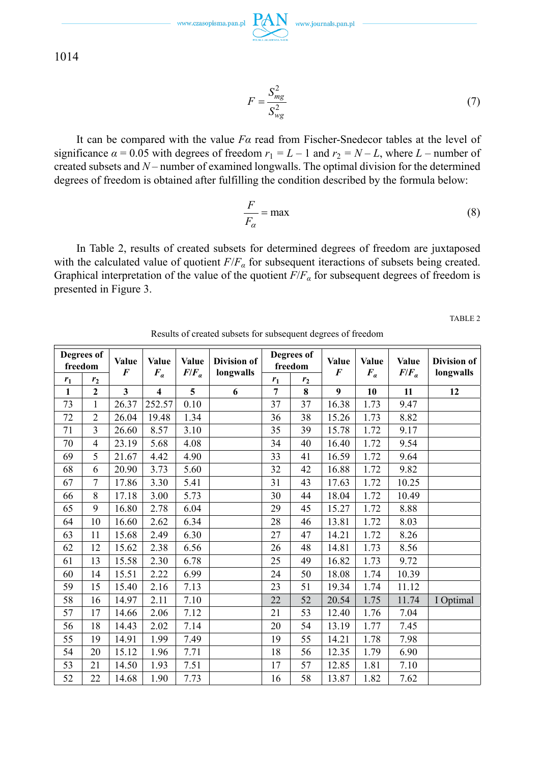$\text{www.czasopisma.pan.pl}\ \underset{\text{sum.}}{\text{PAN}}\ \ \text{www.journals.pan.pl}$ 

1014

$$
F = \frac{S_{mg}^2}{S_{wg}^2} \tag{7}
$$

It can be compared with the value *Fα* read from Fischer-Snedecor tables at the level of significance  $\alpha = 0.05$  with degrees of freedom  $r_1 = L - 1$  and  $r_2 = N - L$ , where  $L$  – number of created subsets and *N* – number of examined longwalls. The optimal division for the determined degrees of freedom is obtained after fulfilling the condition described by the formula below:

$$
\frac{F}{F_{\alpha}} = \max \tag{8}
$$

In Table 2, results of created subsets for determined degrees of freedom are juxtaposed with the calculated value of quotient  $F/F_a$  for subsequent iteractions of subsets being created. Graphical interpretation of the value of the quotient  $F/F_\alpha$  for subsequent degrees of freedom is presented in Figure 3.

TABLE 2

|              | Degrees of<br>freedom | Value<br>$\boldsymbol{F}$ | Value                   | <b>Value</b>   | Division of |                | Degrees of<br>freedom | <b>Value</b> | <b>Value</b> | <b>Value</b><br>$F/F_a$ | Division of |
|--------------|-----------------------|---------------------------|-------------------------|----------------|-------------|----------------|-----------------------|--------------|--------------|-------------------------|-------------|
| $r_1$        | r <sub>2</sub>        |                           | $F_a$                   | $F/F_a$        | longwalls   | $r_1$          | r <sub>2</sub>        | F            | $F_a$        |                         | longwalls   |
| $\mathbf{1}$ | $\overline{2}$        | $\mathbf{3}$              | $\overline{\mathbf{4}}$ | $\overline{5}$ | 6           | $\overline{7}$ | 8                     | 9            | 10           | 11                      | 12          |
| 73           | $\mathbf{1}$          | 26.37                     | 252.57                  | 0.10           |             | 37             | 37                    | 16.38        | 1.73         | 9.47                    |             |
| 72           | $\overline{2}$        | 26.04                     | 19.48                   | 1.34           |             | 36             | 38                    | 15.26        | 1.73         | 8.82                    |             |
| 71           | 3                     | 26.60                     | 8.57                    | 3.10           |             | 35             | 39                    | 15.78        | 1.72         | 9.17                    |             |
| 70           | $\overline{4}$        | 23.19                     | 5.68                    | 4.08           |             | 34             | 40                    | 16.40        | 1.72         | 9.54                    |             |
| 69           | 5                     | 21.67                     | 4.42                    | 4.90           |             | 33             | 41                    | 16.59        | 1.72         | 9.64                    |             |
| 68           | 6                     | 20.90                     | 3.73                    | 5.60           |             | 32             | 42                    | 16.88        | 1.72         | 9.82                    |             |
| 67           | $\overline{7}$        | 17.86                     | 3.30                    | 5.41           |             | 31             | 43                    | 17.63        | 1.72         | 10.25                   |             |
| 66           | 8                     | 17.18                     | 3.00                    | 5.73           |             | 30             | 44                    | 18.04        | 1.72         | 10.49                   |             |
| 65           | 9                     | 16.80                     | 2.78                    | 6.04           |             | 29             | 45                    | 15.27        | 1.72         | 8.88                    |             |
| 64           | 10                    | 16.60                     | 2.62                    | 6.34           |             | 28             | 46                    | 13.81        | 1.72         | 8.03                    |             |
| 63           | 11                    | 15.68                     | 2.49                    | 6.30           |             | 27             | 47                    | 14.21        | 1.72         | 8.26                    |             |
| 62           | 12                    | 15.62                     | 2.38                    | 6.56           |             | 26             | 48                    | 14.81        | 1.73         | 8.56                    |             |
| 61           | 13                    | 15.58                     | 2.30                    | 6.78           |             | 25             | 49                    | 16.82        | 1.73         | 9.72                    |             |
| 60           | 14                    | 15.51                     | 2.22                    | 6.99           |             | 24             | 50                    | 18.08        | 1.74         | 10.39                   |             |
| 59           | 15                    | 15.40                     | 2.16                    | 7.13           |             | 23             | 51                    | 19.34        | 1.74         | 11.12                   |             |
| 58           | 16                    | 14.97                     | 2.11                    | 7.10           |             | 22             | 52                    | 20.54        | 1.75         | 11.74                   | I Optimal   |
| 57           | 17                    | 14.66                     | 2.06                    | 7.12           |             | 21             | 53                    | 12.40        | 1.76         | 7.04                    |             |
| 56           | 18                    | 14.43                     | 2.02                    | 7.14           |             | 20             | 54                    | 13.19        | 1.77         | 7.45                    |             |
| 55           | 19                    | 14.91                     | 1.99                    | 7.49           |             | 19             | 55                    | 14.21        | 1.78         | 7.98                    |             |
| 54           | 20                    | 15.12                     | 1.96                    | 7.71           |             | 18             | 56                    | 12.35        | 1.79         | 6.90                    |             |
| 53           | 21                    | 14.50                     | 1.93                    | 7.51           |             | 17             | 57                    | 12.85        | 1.81         | 7.10                    |             |
| 52           | 22                    | 14.68                     | 1.90                    | 7.73           |             | 16             | 58                    | 13.87        | 1.82         | 7.62                    |             |

Results of created subsets for subsequent degrees of freedom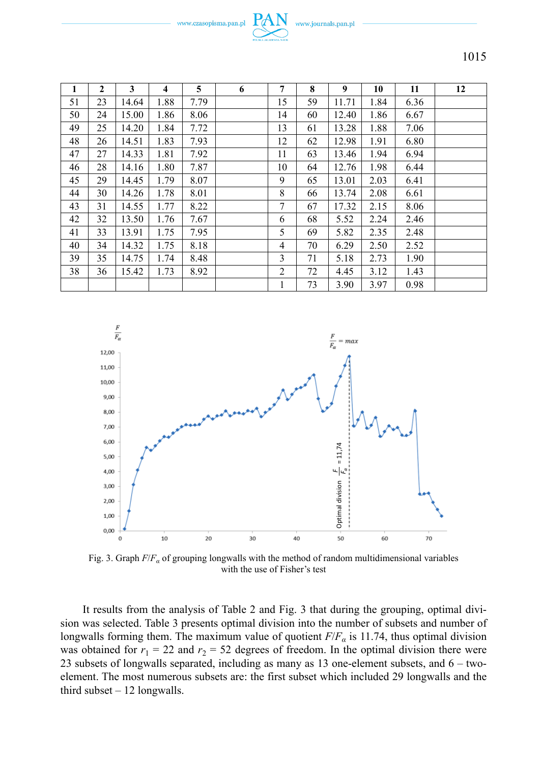www.czasopisma.pan.pl



1015

| 1  | $\mathbf{2}$ | 3     | $\overline{\mathbf{4}}$ | 5    | 6 | 7      | 8  | 9     | 10   | 11   | 12 |
|----|--------------|-------|-------------------------|------|---|--------|----|-------|------|------|----|
| 51 | 23           | 14.64 | 1.88                    | 7.79 |   | 15     | 59 | 11.71 | 1.84 | 6.36 |    |
| 50 | 24           | 15.00 | 1.86                    | 8.06 |   | 14     | 60 | 12.40 | 1.86 | 6.67 |    |
| 49 | 25           | 14.20 | 1.84                    | 7.72 |   | 13     | 61 | 13.28 | 1.88 | 7.06 |    |
| 48 | 26           | 14.51 | 1.83                    | 7.93 |   | 12     | 62 | 12.98 | 1.91 | 6.80 |    |
| 47 | 27           | 14.33 | 1.81                    | 7.92 |   | 11     | 63 | 13.46 | 1.94 | 6.94 |    |
| 46 | 28           | 14.16 | 1.80                    | 7.87 |   | 10     | 64 | 12.76 | 1.98 | 6.44 |    |
| 45 | 29           | 14.45 | 1.79                    | 8.07 |   | 9      | 65 | 13.01 | 2.03 | 6.41 |    |
| 44 | 30           | 14.26 | 1.78                    | 8.01 |   | 8      | 66 | 13.74 | 2.08 | 6.61 |    |
| 43 | 31           | 14.55 | 1.77                    | 8.22 |   | $\tau$ | 67 | 17.32 | 2.15 | 8.06 |    |
| 42 | 32           | 13.50 | 1.76                    | 7.67 |   | 6      | 68 | 5.52  | 2.24 | 2.46 |    |
| 41 | 33           | 13.91 | 1.75                    | 7.95 |   | 5      | 69 | 5.82  | 2.35 | 2.48 |    |
| 40 | 34           | 14.32 | 1.75                    | 8.18 |   | 4      | 70 | 6.29  | 2.50 | 2.52 |    |
| 39 | 35           | 14.75 | 1.74                    | 8.48 |   | 3      | 71 | 5.18  | 2.73 | 1.90 |    |
| 38 | 36           | 15.42 | 1.73                    | 8.92 |   | 2      | 72 | 4.45  | 3.12 | 1.43 |    |
|    |              |       |                         |      |   |        | 73 | 3.90  | 3.97 | 0.98 |    |



Fig. 3. Graph *F*/*Fα* of grouping longwalls with the method of random multidimensional variables with the use of Fisher's test

It results from the analysis of Table 2 and Fig. 3 that during the grouping, optimal division was selected. Table 3 presents optimal division into the number of subsets and number of longwalls forming them. The maximum value of quotient  $F/F_a$  is 11.74, thus optimal division was obtained for  $r_1 = 22$  and  $r_2 = 52$  degrees of freedom. In the optimal division there were 23 subsets of longwalls separated, including as many as 13 one-element subsets, and 6 – twoelement. The most numerous subsets are: the first subset which included 29 longwalls and the third subset – 12 longwalls.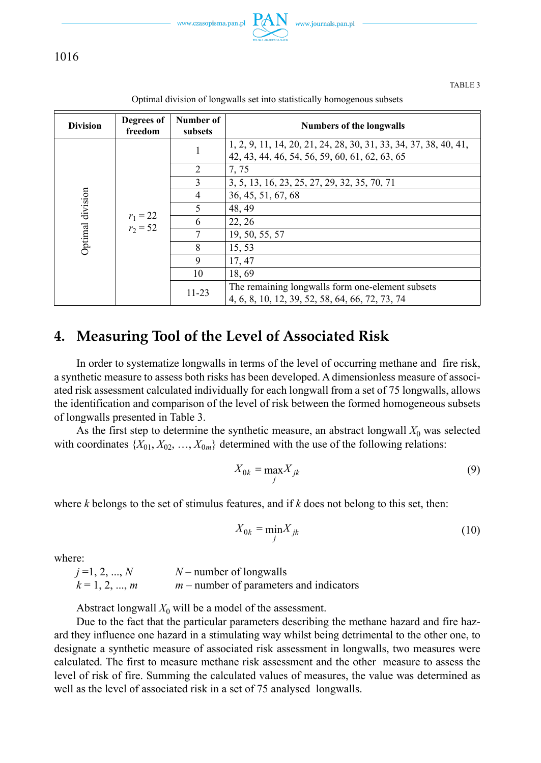

1016

TABLE 3

| Degrees of<br>freedom | Number of<br>subsets     | <b>Numbers of the longwalls</b>                                                                                    |
|-----------------------|--------------------------|--------------------------------------------------------------------------------------------------------------------|
|                       | 1                        | 1, 2, 9, 11, 14, 20, 21, 24, 28, 30, 31, 33, 34, 37, 38, 40, 41,<br>42, 43, 44, 46, 54, 56, 59, 60, 61, 62, 63, 65 |
|                       | $\mathcal{L}$            | 7.75                                                                                                               |
|                       | 3                        | 3, 5, 13, 16, 23, 25, 27, 29, 32, 35, 70, 71                                                                       |
|                       | 4                        | 36, 45, 51, 67, 68                                                                                                 |
|                       |                          | 48, 49                                                                                                             |
|                       | 6                        | 22, 26                                                                                                             |
|                       |                          | 19, 50, 55, 57                                                                                                     |
|                       | 8                        | 15, 53                                                                                                             |
|                       | 9                        | 17, 47                                                                                                             |
|                       | 10                       | 18,69                                                                                                              |
|                       | $11 - 23$                | The remaining longwalls form one-element subsets<br>4, 6, 8, 10, 12, 39, 52, 58, 64, 66, 72, 73, 74                |
|                       | $r_1 = 22$<br>$r_2 = 52$ |                                                                                                                    |

Optimal division of longwalls set into statistically homogenous subsets

## **4. Measuring Tool of the Level of Associated Risk**

In order to systematize longwalls in terms of the level of occurring methane and fire risk, a synthetic measure to assess both risks has been developed. A dimensionless measure of associated risk assessment calculated individually for each longwall from a set of 75 longwalls, allows the identification and comparison of the level of risk between the formed homogeneous subsets of longwalls presented in Table 3.

As the first step to determine the synthetic measure, an abstract longwall  $X_0$  was selected with coordinates  $\{X_{01}, X_{02}, ..., X_{0m}\}$  determined with the use of the following relations:

$$
X_{0k} = \max_{j} X_{jk} \tag{9}
$$

where *k* belongs to the set of stimulus features, and if *k* does not belong to this set, then:

$$
X_{0k} = \min_{j} X_{jk} \tag{10}
$$

where:

 $j = 1, 2, ..., N$   $N$  – number of longwalls  $k = 1, 2, ..., m$  *m* – number of parameters and indicators

Abstract longwall  $X_0$  will be a model of the assessment.

Due to the fact that the particular parameters describing the methane hazard and fire hazard they influence one hazard in a stimulating way whilst being detrimental to the other one, to designate a synthetic measure of associated risk assessment in longwalls, two measures were calculated. The first to measure methane risk assessment and the other measure to assess the level of risk of fire. Summing the calculated values of measures, the value was determined as well as the level of associated risk in a set of 75 analysed longwalls.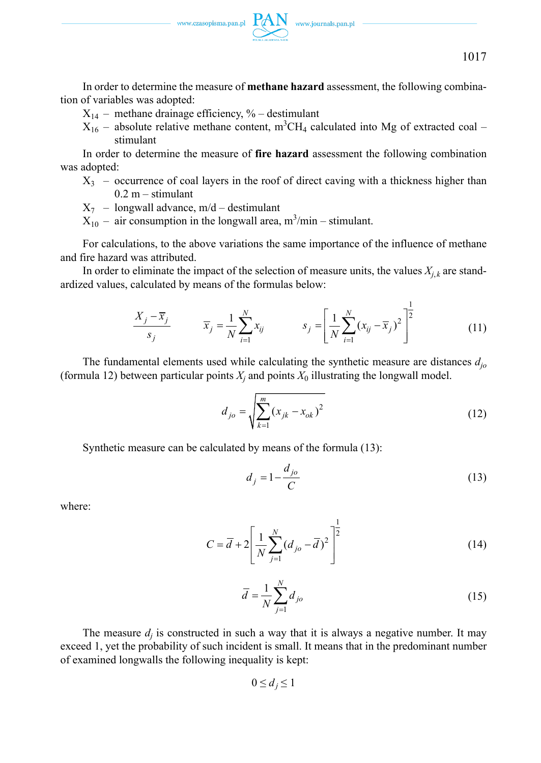

In order to determine the measure of **methane hazard** assessment, the following combination of variables was adopted:

- $X_{14}$  methane drainage efficiency, % destimulant
- $X_{16}$  absolute relative methane content, m<sup>3</sup>CH<sub>4</sub> calculated into Mg of extracted coal stimulant

In order to determine the measure of **fire hazard** assessment the following combination was adopted:

- $X_3$  occurrence of coal layers in the roof of direct caving with a thickness higher than  $0.2 m -$ stimulant
- $X_7$  longwall advance, m/d destimulant
- $X_{10}$  air consumption in the longwall area, m<sup>3</sup>/min stimulant.

For calculations, to the above variations the same importance of the influence of methane and fire hazard was attributed.

In order to eliminate the impact of the selection of measure units, the values  $X_{i,k}$  are standardized values, calculated by means of the formulas below:

$$
\frac{X_j - \overline{x}_j}{s_j} \qquad \overline{x}_j = \frac{1}{N} \sum_{i=1}^N x_{ij} \qquad s_j = \left[ \frac{1}{N} \sum_{i=1}^N (x_{ij} - \overline{x}_j)^2 \right]^{\frac{1}{2}}
$$
(11)

The fundamental elements used while calculating the synthetic measure are distances *djo* (formula 12) between particular points  $X_j$  and points  $X_0$  illustrating the longwall model.

$$
d_{jo} = \sqrt{\sum_{k=1}^{m} (x_{jk} - x_{ok})^2}
$$
 (12)

Synthetic measure can be calculated by means of the formula (13):

$$
d_j = 1 - \frac{d_{jo}}{C} \tag{13}
$$

where:

$$
C = \overline{d} + 2 \left[ \frac{1}{N} \sum_{j=1}^{N} (d_{jo} - \overline{d})^2 \right]^{\frac{1}{2}}
$$
(14)

$$
\overline{d} = \frac{1}{N} \sum_{j=1}^{N} d_{jo} \tag{15}
$$

The measure  $d_i$  is constructed in such a way that it is always a negative number. It may exceed 1, yet the probability of such incident is small. It means that in the predominant number of examined longwalls the following inequality is kept:

$$
0 \le d_j \le 1
$$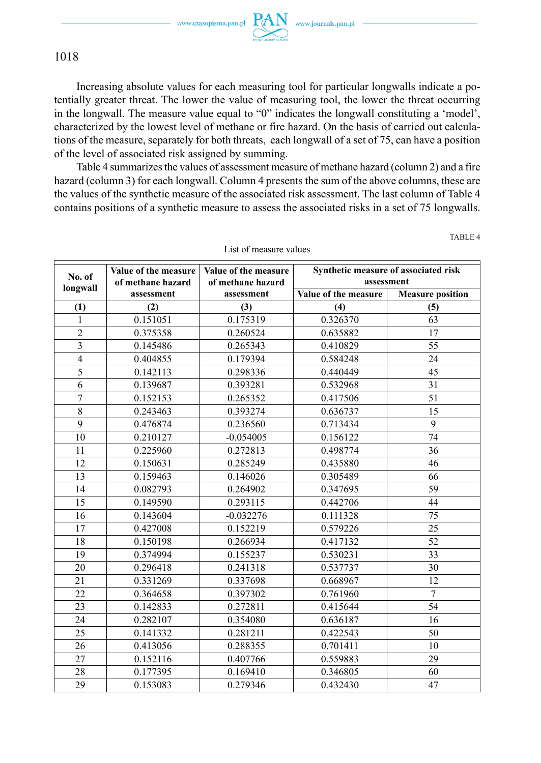TABLE 4



### 1018

Increasing absolute values for each measuring tool for particular longwalls indicate a potentially greater threat. The lower the value of measuring tool, the lower the threat occurring in the longwall. The measure value equal to "0" indicates the longwall constituting a 'model', characterized by the lowest level of methane or fire hazard. On the basis of carried out calculations of the measure, separately for both threats, each longwall of a set of 75, can have a position of the level of associated risk assigned by summing.

Table 4 summarizes the values of assessment measure of methane hazard (column 2) and a fire hazard (column 3) for each longwall. Column 4 presents the sum of the above columns, these are the values of the synthetic measure of the associated risk assessment. The last column of Table 4 contains positions of a synthetic measure to assess the associated risks in a set of 75 longwalls.

| No. of         | Value of the measure<br>of methane hazard | Value of the measure<br>of methane hazard | Synthetic measure of associated risk | assessment              |  |
|----------------|-------------------------------------------|-------------------------------------------|--------------------------------------|-------------------------|--|
| longwall       | assessment                                | assessment                                | Value of the measure                 | <b>Measure position</b> |  |
| (1)            | (2)                                       | (3)                                       | (4)                                  | (5)                     |  |
| $\mathbf{1}$   | 0.151051                                  | 0.175319                                  | 0.326370                             | 63                      |  |
| $\overline{c}$ | 0.375358                                  | 0.260524                                  | 0.635882                             | 17                      |  |
| 3              | 0.145486                                  | 0.265343                                  | 0.410829                             | 55                      |  |
| $\overline{4}$ | 0.404855                                  | 0.179394                                  | 0.584248                             | 24                      |  |
| 5              | 0.142113                                  | 0.298336                                  | 0.440449                             | 45                      |  |
| 6              | 0.139687                                  | 0.393281                                  | 0.532968                             | 31                      |  |
| 7              | 0.152153                                  | 0.265352                                  | 0.417506                             | 51                      |  |
| $\,8\,$        | 0.243463                                  | 0.393274                                  | 0.636737                             | 15                      |  |
| 9              | 0.476874                                  | 0.236560                                  | 0.713434                             | 9                       |  |
| 10             | 0.210127                                  | $-0.054005$                               | 0.156122                             | 74                      |  |
| 11             | 0.225960                                  | 0.272813                                  | 0.498774                             | 36                      |  |
| 12             | 0.150631                                  | 0.285249                                  | 0.435880                             | 46                      |  |
| 13             | 0.159463                                  | 0.146026                                  | 0.305489                             | 66                      |  |
| 14             | 0.082793                                  | 0.264902                                  | 0.347695                             | 59                      |  |
| 15             | 0.149590                                  | 0.293115                                  | 0.442706                             | 44                      |  |
| 16             | 0.143604                                  | $-0.032276$                               | 0.111328                             | 75                      |  |
| 17             | 0.427008                                  | 0.152219                                  | 0.579226                             | 25                      |  |
| 18             | 0.150198                                  | 0.266934                                  | 0.417132                             | 52                      |  |
| 19             | 0.374994                                  | 0.155237                                  | 0.530231                             | 33                      |  |
| 20             | 0.296418                                  | 0.241318                                  | 0.537737                             | 30                      |  |
| 21             | 0.331269                                  | 0.337698                                  | 0.668967                             | 12                      |  |
| 22             | 0.364658                                  | 0.397302                                  | 0.761960                             | $\overline{7}$          |  |
| 23             | 0.142833                                  | 0.272811                                  | 0.415644                             | 54                      |  |
| 24             | 0.282107                                  | 0.354080                                  | 0.636187                             | 16                      |  |
| 25             | 0.141332                                  | 0.281211                                  | 0.422543                             | 50                      |  |
| 26             | 0.413056                                  | 0.288355                                  | 0.701411                             | 10                      |  |
| 27             | 0.152116                                  | 0.407766                                  | 0.559883                             | 29                      |  |
| 28             | 0.177395                                  | 0.169410                                  | 0.346805                             | 60                      |  |
| 29             | 0.153083                                  | 0.279346                                  | 0.432430                             | 47                      |  |

List of measure values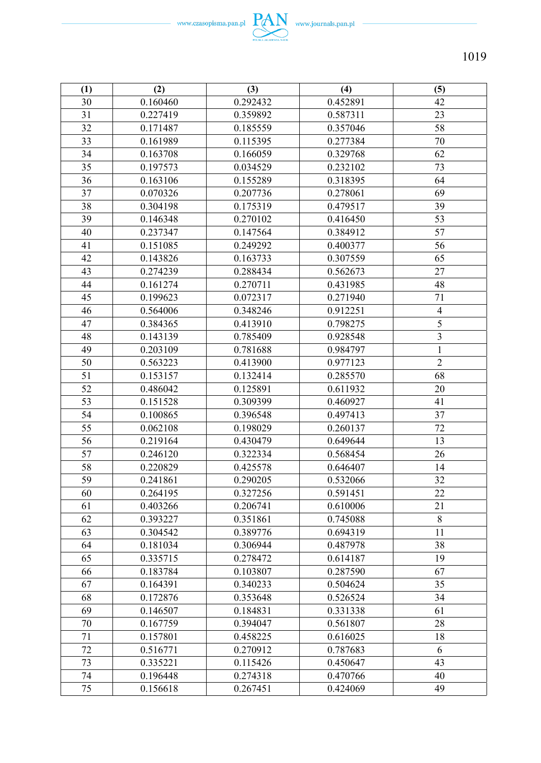

| (1)    | (2)      | (3)      | (4)      | (5)            |
|--------|----------|----------|----------|----------------|
| 30     | 0.160460 | 0.292432 | 0.452891 | 42             |
| 31     | 0.227419 | 0.359892 | 0.587311 | 23             |
| 32     | 0.171487 | 0.185559 | 0.357046 | 58             |
| 33     | 0.161989 | 0.115395 | 0.277384 | 70             |
| 34     | 0.163708 | 0.166059 | 0.329768 | 62             |
| 35     | 0.197573 | 0.034529 | 0.232102 | 73             |
| 36     | 0.163106 | 0.155289 | 0.318395 | 64             |
| 37     | 0.070326 | 0.207736 | 0.278061 | 69             |
| 38     | 0.304198 | 0.175319 | 0.479517 | 39             |
| 39     | 0.146348 | 0.270102 | 0.416450 | 53             |
| 40     | 0.237347 | 0.147564 | 0.384912 | 57             |
| 41     | 0.151085 | 0.249292 | 0.400377 | 56             |
| 42     | 0.143826 | 0.163733 | 0.307559 | 65             |
| 43     | 0.274239 | 0.288434 | 0.562673 | 27             |
| 44     | 0.161274 | 0.270711 | 0.431985 | 48             |
| 45     | 0.199623 | 0.072317 | 0.271940 | 71             |
| 46     | 0.564006 | 0.348246 | 0.912251 | $\overline{4}$ |
| 47     | 0.384365 | 0.413910 | 0.798275 | 5              |
| 48     | 0.143139 | 0.785409 | 0.928548 | $\mathfrak{Z}$ |
| 49     | 0.203109 | 0.781688 | 0.984797 | $\mathbf{1}$   |
| 50     | 0.563223 | 0.413900 | 0.977123 | $\overline{2}$ |
| 51     | 0.153157 | 0.132414 | 0.285570 | 68             |
| 52     | 0.486042 | 0.125891 | 0.611932 | 20             |
| 53     | 0.151528 | 0.309399 | 0.460927 | 41             |
| 54     | 0.100865 | 0.396548 | 0.497413 | 37             |
| 55     | 0.062108 | 0.198029 | 0.260137 | 72             |
| 56     | 0.219164 | 0.430479 | 0.649644 | 13             |
| 57     | 0.246120 | 0.322334 | 0.568454 | 26             |
| 58     | 0.220829 | 0.425578 | 0.646407 | 14             |
| 59     | 0.241861 | 0.290205 | 0.532066 | 32             |
| 60     | 0.264195 | 0.327256 | 0.591451 | 22             |
| 61     | 0.403266 | 0.206741 | 0.610006 | 21             |
| 62     | 0.393227 | 0.351861 | 0.745088 | $\,$ 8 $\,$    |
| 63     | 0.304542 | 0.389776 | 0.694319 | 11             |
| 64     | 0.181034 | 0.306944 | 0.487978 | 38             |
| 65     | 0.335715 | 0.278472 | 0.614187 | 19             |
| 66     | 0.183784 | 0.103807 | 0.287590 | 67             |
| 67     | 0.164391 | 0.340233 | 0.504624 | 35             |
| 68     | 0.172876 | 0.353648 | 0.526524 | 34             |
| 69     | 0.146507 | 0.184831 | 0.331338 | 61             |
| $70\,$ | 0.167759 | 0.394047 | 0.561807 | 28             |
| $71\,$ | 0.157801 | 0.458225 | 0.616025 | 18             |
| 72     | 0.516771 | 0.270912 | 0.787683 | 6              |
| 73     | 0.335221 | 0.115426 | 0.450647 | 43             |
| 74     | 0.196448 | 0.274318 | 0.470766 | 40             |
| 75     | 0.156618 | 0.267451 | 0.424069 | 49             |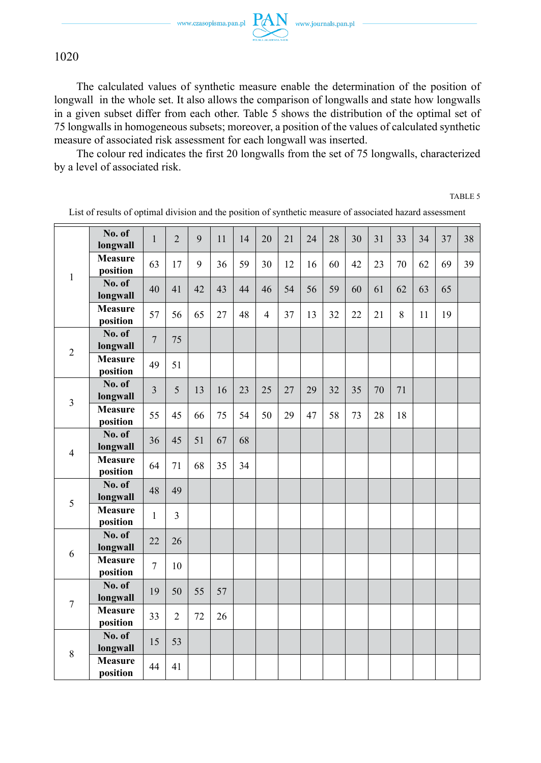1020

The calculated values of synthetic measure enable the determination of the position of longwall in the whole set. It also allows the comparison of longwalls and state how longwalls in a given subset differ from each other. Table 5 shows the distribution of the optimal set of 75 longwalls in homogeneous subsets; moreover, a position of the values of calculated synthetic measure of associated risk assessment for each longwall was inserted.

The colour red indicates the first 20 longwalls from the set of 75 longwalls, characterized by a level of associated risk.

TABLE 5

|                | No. of<br>longwall         | 1              | $\overline{2}$ | 9  | 11 | 14 | 20             | 21 | 24 | 28 | 30 | 31 | 33 | 34 | 37 | 38 |
|----------------|----------------------------|----------------|----------------|----|----|----|----------------|----|----|----|----|----|----|----|----|----|
| 1              | <b>Measure</b><br>position | 63             | 17             | 9  | 36 | 59 | 30             | 12 | 16 | 60 | 42 | 23 | 70 | 62 | 69 | 39 |
|                | No. of<br>longwall         | 40             | 41             | 42 | 43 | 44 | 46             | 54 | 56 | 59 | 60 | 61 | 62 | 63 | 65 |    |
|                | <b>Measure</b><br>position | 57             | 56             | 65 | 27 | 48 | $\overline{4}$ | 37 | 13 | 32 | 22 | 21 | 8  | 11 | 19 |    |
| $\overline{2}$ | No. of<br>longwall         | $\overline{7}$ | 75             |    |    |    |                |    |    |    |    |    |    |    |    |    |
|                | <b>Measure</b><br>position | 49             | 51             |    |    |    |                |    |    |    |    |    |    |    |    |    |
| 3              | No. of<br>longwall         | 3              | 5              | 13 | 16 | 23 | 25             | 27 | 29 | 32 | 35 | 70 | 71 |    |    |    |
|                | <b>Measure</b><br>position | 55             | 45             | 66 | 75 | 54 | 50             | 29 | 47 | 58 | 73 | 28 | 18 |    |    |    |
| $\overline{4}$ | No. of<br>longwall         | 36             | 45             | 51 | 67 | 68 |                |    |    |    |    |    |    |    |    |    |
|                | <b>Measure</b><br>position | 64             | 71             | 68 | 35 | 34 |                |    |    |    |    |    |    |    |    |    |
| 5              | No. of<br>longwall         | 48             | 49             |    |    |    |                |    |    |    |    |    |    |    |    |    |
|                | <b>Measure</b><br>position | $\mathbf{1}$   | 3              |    |    |    |                |    |    |    |    |    |    |    |    |    |
| 6              | No. of<br>longwall         | 22             | 26             |    |    |    |                |    |    |    |    |    |    |    |    |    |
|                | <b>Measure</b><br>position | $\overline{7}$ | 10             |    |    |    |                |    |    |    |    |    |    |    |    |    |
| $\overline{7}$ | No. of<br>longwall         | 19             | 50             | 55 | 57 |    |                |    |    |    |    |    |    |    |    |    |
|                | <b>Measure</b><br>position | 33             | $\overline{2}$ | 72 | 26 |    |                |    |    |    |    |    |    |    |    |    |
|                | No. of<br>longwall         | 15             | 53             |    |    |    |                |    |    |    |    |    |    |    |    |    |
| 8              | <b>Measure</b><br>position | 44             | 41             |    |    |    |                |    |    |    |    |    |    |    |    |    |

List of results of optimal division and the position of synthetic measure of associated hazard assessment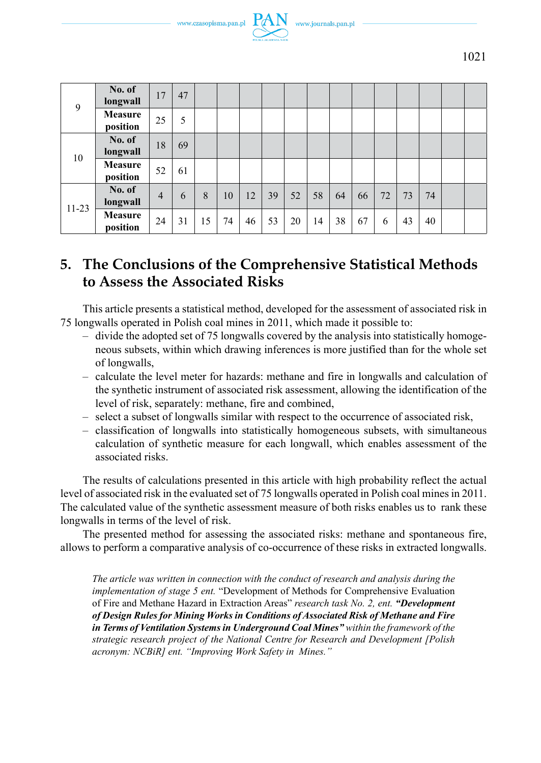



| 9         | No. of<br>longwall  | 17             | 47 |    |    |    |    |    |    |    |    |    |    |    |  |
|-----------|---------------------|----------------|----|----|----|----|----|----|----|----|----|----|----|----|--|
|           | Measure<br>position | 25             | 5  |    |    |    |    |    |    |    |    |    |    |    |  |
| 10        | No. of<br>longwall  | 18             | 69 |    |    |    |    |    |    |    |    |    |    |    |  |
|           | Measure<br>position | 52             | 61 |    |    |    |    |    |    |    |    |    |    |    |  |
| $11 - 23$ | No. of<br>longwall  | $\overline{4}$ | 6  | 8  | 10 | 12 | 39 | 52 | 58 | 64 | 66 | 72 | 73 | 74 |  |
|           | Measure<br>position | 24             | 31 | 15 | 74 | 46 | 53 | 20 | 14 | 38 | 67 | 6  | 43 | 40 |  |

# **5. The Conclusions of the Comprehensive Statistical Methods to Assess the Associated Risks**

This article presents a statistical method, developed for the assessment of associated risk in 75 longwalls operated in Polish coal mines in 2011, which made it possible to:

- divide the adopted set of 75 longwalls covered by the analysis into statistically homogeneous subsets, within which drawing inferences is more justified than for the whole set of longwalls,
- calculate the level meter for hazards: methane and fire in longwalls and calculation of the synthetic instrument of associated risk assessment, allowing the identification of the level of risk, separately: methane, fire and combined,
- select a subset of longwalls similar with respect to the occurrence of associated risk,
- classification of longwalls into statistically homogeneous subsets, with simultaneous calculation of synthetic measure for each longwall, which enables assessment of the associated risks.

The results of calculations presented in this article with high probability reflect the actual level of associated risk in the evaluated set of 75 longwalls operated in Polish coal mines in 2011. The calculated value of the synthetic assessment measure of both risks enables us to rank these longwalls in terms of the level of risk.

The presented method for assessing the associated risks: methane and spontaneous fire, allows to perform a comparative analysis of co-occurrence of these risks in extracted longwalls.

*The article was written in connection with the conduct of research and analysis during the implementation of stage 5 ent.* "Development of Methods for Comprehensive Evaluation of Fire and Methane Hazard in Extraction Areas" *research task No. 2, ent. "Development of Design Rules for Mining Works in Conditions of Associated Risk of Methane and Fire in Terms of Ventilation Systems in Underground Coal Mines" within the framework of the strategic research project of the National Centre for Research and Development [Polish acronym: NCBiR] ent. "Improving Work Safety in Mines."*